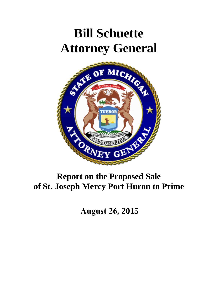# **Bill Schuette Attorney General**



# **Report on the Proposed Sale of St. Joseph Mercy Port Huron to Prime**

**August 26, 2015**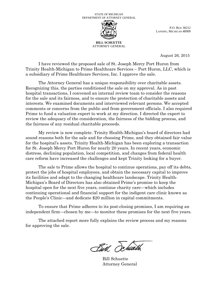

P.O. BOX 30212 LANSING, MICHIGAN 48909

**BILL SCHUETTE** ATTORNEY GENERAL

August 26, 2015

I have reviewed the proposed sale of St. Joseph Mercy Port Huron from Trinity Health-Michigan to Prime Healthcare Services – Port Huron, LLC, which is a subsidiary of Prime Healthcare Services, Inc. I approve the sale.

The Attorney General has a unique responsibility over charitable assets. Recognizing this, the parties conditioned the sale on my approval. As in past hospital transactions, I convened an internal review team to consider the reasons for the sale and its fairness, and to ensure the protection of charitable assets and interests. We examined documents and interviewed relevant persons. We accepted comments or concerns from the public and from government officials. I also required Prime to fund a valuation expert to work at my direction. I directed the expert to review the adequacy of the consideration, the fairness of the bidding process, and the fairness of any residual charitable proceeds.

My review is now complete. Trinity Health-Michigan's board of directors had sound reasons both for the sale and for choosing Prime, and they obtained fair value for the hospital's assets. Trinity Health-Michigan has been exploring a transaction for St. Joseph Mercy Port Huron for nearly 20 years. In recent years, economic distress, declining population, local competition, and changes from federal health care reform have increased the challenges and kept Trinity looking for a buyer.

The sale to Prime allows the hospital to continue operations, pay off its debts, protect the jobs of hospital employees, and obtain the necessary capital to improve its facilities and adapt to the changing healthcare landscape. Trinity Health-Michigan's Board of Directors has also obtained Prime's promise to keep the hospital open for the next five years, continue charity care—which includes continuing operational and financial support for the indigent care clinic known as the People's Clinic—and dedicate \$20 million in capital commitments.

To ensure that Prime adheres to its post-closing promises, I am requiring an independent firm—chosen by me—to monitor these promises for the next five years.

The attached report more fully explains the review process and my reasons for approving the sale.

Birl Schweth

Bill Schuette Attorney General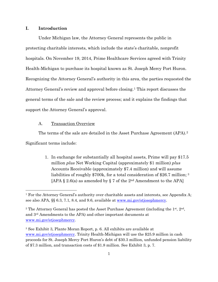### **I. Introduction**

l

Under Michigan law, the Attorney General represents the public in protecting charitable interests, which include the state's charitable, nonprofit hospitals. On November 19, 2014, Prime Healthcare Services agreed with Trinity Health-Michigan to purchase its hospital known as St. Joseph Mercy Port Huron. Recognizing the Attorney General's authority in this area, the parties requested the Attorney General's review and approval before closing.[1](#page-2-0) This report discusses the general terms of the sale and the review process; and it explains the findings that support the Attorney General's approval.

#### A. Transaction Overview

The terms of the sale are detailed in the Asset Purchase Agreement (APA).[2](#page-2-1) Significant terms include:

> 1. In exchange for substantially all hospital assets, Prime will pay \$17.5 million *plus* Net Working Capital (approximately \$1 million) *plus*  Accounts Receivable (approximately \$7.4 million) and will assume liabilities of roughly \$700k, for a total consideration of \$26.7 million; [3](#page-2-2) [APA  $\S$  2.6(a) as amended by  $\S$  7 of the 2<sup>nd</sup> Amendment to the APA]

<span id="page-2-0"></span><sup>1</sup> For the Attorney General's authority over charitable assets and interests, see Appendix A; see also APA, §§ 6.3, 7.1, 8.4, and 9.6, available at [www.mi.gov/stjosephmercy.](http://www.mi.gov/stjosephmercy)

<span id="page-2-1"></span><sup>&</sup>lt;sup>2</sup> The Attorney General has posted the Asset Purchase Agreement (including the  $1<sup>st</sup>$ ,  $2<sup>nd</sup>$ , and 3rd Amendments to the APA) and other important documents at [www.mi.gov/stjosephmercy.](http://www.mi.gov/stjosephmercy)

<span id="page-2-2"></span><sup>3</sup> See Exhibit 3, Plante Moran Report, p. 6. All exhibits are available at [www.mi.gov/stjosephmercy.](http://www.mi.gov/stjosephmercy) Trinity Health-Michigan will use the \$25.9 million in cash proceeds for St. Joseph Mercy Port Huron's debt of \$30.3 million, unfunded pension liability of \$7.3 million, and transaction costs of \$1.8 million. See Exhibit 3, p. 7.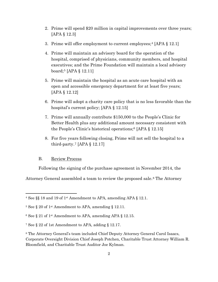- 2. Prime will spend \$20 million in capital improvements over three years; [APA § 12.3]
- 3. Prime will offer employment to current employees;[4](#page-3-0) [APA § 12.1]
- 4. Prime will maintain an advisory board for the operation of the hospital, comprised of physicians, community members, and hospital executives; and the Prime Foundation will maintain a local advisory board;[5](#page-3-1) [APA § 12.11]
- 5. Prime will maintain the hospital as an acute care hospital with an open and accessible emergency department for at least five years; [APA § 12.12]
- 6. Prime will adopt a charity care policy that is no less favorable than the hospital's current policy; [APA § 12.15]
- 7. Prime will annually contribute \$150,000 to the People's Clinic for Better Health plus any additional amount necessary consistent with the People's Clinic's historical operations;[6](#page-3-2) [APA § 12.15]
- 8. For five years following closing, Prime will not sell the hospital to a third-party.<sup>[7](#page-3-3)</sup> [APA  $\S$  12.17]

#### B. Review Process

 $\overline{\phantom{a}}$ 

Following the signing of the purchase agreement in November 2014, the

Attorney General assembled a team to review the proposed sale.[8](#page-3-4) The Attorney

<span id="page-3-0"></span> $4$  See §§ 18 and 19 of 1st Amendment to APA, amending APA § 12.1.

<span id="page-3-1"></span><sup>&</sup>lt;sup>5</sup> See § 20 of 1<sup>st</sup> Amendment to APA, amending § 12.11.

<span id="page-3-2"></span> $6$  See  $\S$  21 of 1<sup>st</sup> Amendment to APA, amending APA  $\S$  12.15.

<span id="page-3-3"></span><sup>7</sup> See § 22 of 1st Amendment to APA, adding § 12.17.

<span id="page-3-4"></span><sup>8</sup> The Attorney General's team included Chief Deputy Attorney General Carol Isaacs, Corporate Oversight Division Chief Joseph Potchen, Charitable Trust Attorney William R. Bloomfield, and Charitable Trust Auditor Joe Kylman.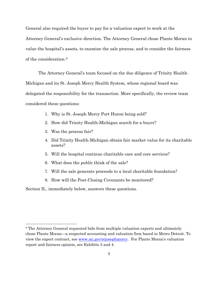General also required the buyer to pay for a valuation expert to work at the Attorney General's exclusive direction. The Attorney General chose Plante Moran to value the hospital's assets, to examine the sale process, and to consider the fairness of the consideration.[9](#page-4-0)

The Attorney General's team focused on the due diligence of Trinity Health-Michigan and its St. Joseph Mercy Health System, whose regional board was delegated the responsibility for the transaction. More specifically, the review team considered these questions:

- 1. Why is St. Joseph Mercy Port Huron being sold?
- 2. How did Trinity Health-Michigan search for a buyer?
- 3. Was the process fair?

 $\overline{\phantom{a}}$ 

- 4. Did Trinity Health-Michigan obtain fair market value for its charitable assets?
- 5. Will the hospital continue charitable care and core services?
- 6. What does the public think of the sale?
- 7. Will the sale generate proceeds to a local charitable foundation?
- 8. How will the Post-Closing Covenants be monitored?

Section II., immediately below, answers these questions.

<span id="page-4-0"></span><sup>9</sup> The Attorney General requested bids from multiple valuation experts and ultimately chose Plante Moran—a respected accounting and valuation firm based in Metro Detroit. To view the expert contract, see [www.mi.gov/stjosephmercy.](http://www.mi.gov/gch) For Plante Moran's valuation report and fairness opinion, see Exhibits 3 and 4.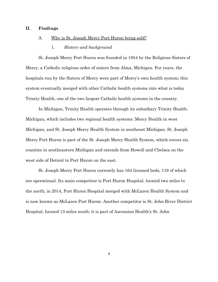### **II. Findings**

### A. Why is St. Joseph Mercy Port Huron being sold?

#### 1. *History and background*

St. Joseph Mercy Port Huron was founded in 1954 by the Religious Sisters of Mercy, a Catholic religious order of sisters from Alma, Michigan. For years, the hospitals run by the Sisters of Mercy were part of Mercy's own health system; this system eventually merged with other Catholic health systems into what is today Trinity Health, one of the two largest Catholic health systems in the country.

In Michigan, Trinity Health operates through its subsidiary Trinity Health-Michigan, which includes two regional health systems: Mercy Health in west Michigan, and St. Joseph Mercy Health System in southeast Michigan. St. Joseph Mercy Port Huron is part of the St. Joseph Mercy Health System, which covers six counties in southeastern Michigan and extends from Howell and Chelsea on the west side of Detroit to Port Huron on the east.

St. Joseph Mercy Port Huron currently has 164 licensed beds, 119 of which are operational. Its main competitor is Port Huron Hospital, located two miles to the north; in 2014, Port Huron Hospital merged with McLaren Health System and is now known as McLaren Port Huron. Another competitor is St. John River District Hospital, located 13 miles south; it is part of Ascension Health's St. John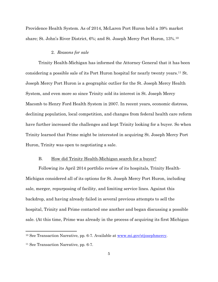Providence Health System. As of 2014, McLaren Port Huron held a 39% market share; St. John's River District, 6%; and St. Joseph Mercy Port Huron, 13%.[10](#page-6-0)

#### 2. *Reasons for sale*

Trinity Health-Michigan has informed the Attorney General that it has been considering a possible sale of its Port Huron hospital for nearly twenty years[.11](#page-6-1) St. Joseph Mercy Port Huron is a geographic outlier for the St. Joseph Mercy Health System, and even more so since Trinity sold its interest in St. Joseph Mercy Macomb to Henry Ford Health System in 2007. In recent years, economic distress, declining population, local competition, and changes from federal health care reform have further increased the challenges and kept Trinity looking for a buyer. So when Trinity learned that Prime might be interested in acquiring St. Joseph Mercy Port Huron, Trinity was open to negotiating a sale.

### B. How did Trinity Health-Michigan search for a buyer?

Following its April 2014 portfolio review of its hospitals, Trinity Health-Michigan considered all of its options for St. Joseph Mercy Port Huron, including sale, merger, repurposing of facility, and limiting service lines. Against this backdrop, and having already failed in several previous attempts to sell the hospital, Trinity and Prime contacted one another and began discussing a possible sale. (At this time, Prime was already in the process of acquiring its first Michigan

l

<span id="page-6-0"></span><sup>&</sup>lt;sup>10</sup> See Transaction Narrative, pp. 6-7. Available at [www.mi.gov/stjosephmercy.](http://www.mi.gov/stjosephmercy)

<span id="page-6-1"></span><sup>11</sup> See Transaction Narrative, pp. 6-7.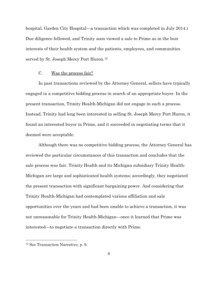hospital, Garden City Hospital—a transaction which was completed in July 2014.) Due diligence followed, and Trinity soon viewed a sale to Prime as in the best interests of their health system and the patients, employees, and communities served by St. Joseph Mercy Port Huron.[12](#page-7-0)

### C. Was the process fair?

In past transactions reviewed by the Attorney General, sellers have typically engaged in a competitive bidding process in search of an appropriate buyer. In the present transaction, Trinity Health-Michigan did not engage in such a process. Instead, Trinity had long been interested in selling St. Joseph Mercy Port Huron, it found an interested buyer in Prime, and it succeeded in negotiating terms that it deemed were acceptable.

Although there was no competitive bidding process, the Attorney General has reviewed the particular circumstances of this transaction and concludes that the sale process was fair. Trinity Health and its Michigan subsidiary Trinity Health-Michigan are large and sophisticated health systems; accordingly, they negotiated the present transaction with significant bargaining power. And considering that Trinity Health-Michigan had contemplated various affiliation and sale opportunities over the years and had been unable to achieve a transaction, it was not unreasonable for Trinity Health-Michigan—once it learned that Prime was interested—to negotiate a transaction directly with Prime.

 $\overline{\phantom{a}}$ 

<span id="page-7-0"></span><sup>12</sup> See Transaction Narrative, p. 9.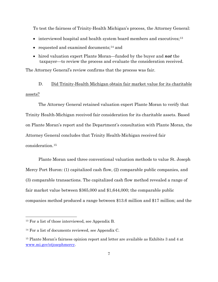To test the fairness of Trinity-Health Michigan's process, the Attorney General:

- interviewed hospital and health system board members and executives;<sup>[13](#page-8-0)</sup>
- requested and examined documents;<sup>[14](#page-8-1)</sup> and
- hired valuation expert Plante Moran—funded by the buyer and *not* the taxpayer—to review the process and evaluate the consideration received.

The Attorney General's review confirms that the process was fair.

D. Did Trinity-Health Michigan obtain fair market value for its charitable assets?

The Attorney General retained valuation expert Plante Moran to verify that Trinity Health-Michigan received fair consideration for its charitable assets. Based on Plante Moran's report and the Department's consultation with Plante Moran, the Attorney General concludes that Trinity Health-Michigan received fair consideration.[15](#page-8-2)

Plante Moran used three conventional valuation methods to value St. Joseph Mercy Port Huron: (1) capitalized cash flow, (2) comparable public companies, and (3) comparable transactions. The capitalized cash flow method revealed a range of fair market value between \$365,000 and \$1,644,000; the comparable public companies method produced a range between \$13.6 million and \$17 million; and the

 $\overline{\phantom{a}}$ 

<span id="page-8-0"></span><sup>13</sup> For a list of those interviewed, see Appendix B.

<span id="page-8-1"></span><sup>14</sup> For a list of documents reviewed, see Appendix C.

<span id="page-8-2"></span><sup>&</sup>lt;sup>15</sup> Plante Moran's fairness opinion report and letter are available as Exhibits 3 and 4 at [www.mi.gov/stjosephmercy.](http://www.mi.gov/stjosephmercy)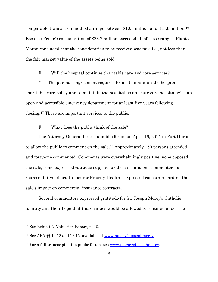comparable transaction method a range between \$10.3 million and \$13.6 million.[16](#page-9-0) Because Prime's consideration of \$26.7 million exceeded all of these ranges, Plante Moran concluded that the consideration to be received was fair, i.e., not less than the fair market value of the assets being sold.

### E. Will the hospital continue charitable care and core services?

Yes. The purchase agreement requires Prime to maintain the hospital's charitable care policy and to maintain the hospital as an acute care hospital with an open and accessible emergency department for at least five years following closing.[17](#page-9-1) These are important services to the public.

### F. What does the public think of the sale?

The Attorney General hosted a public forum on April 16, 2015 in Port Huron to allow the public to comment on the sale.[18](#page-9-2) Approximately 150 persons attended and forty-one commented. Comments were overwhelmingly positive; none opposed the sale; some expressed cautious support for the sale; and one commenter—a representative of health insurer Priority Health—expressed concern regarding the sale's impact on commercial insurance contracts.

Several commenters expressed gratitude for St. Joseph Mercy's Catholic identity and their hope that those values would be allowed to continue under the

l

<span id="page-9-0"></span><sup>16</sup> See Exhibit 3, Valuation Report, p. 10.

<span id="page-9-1"></span><sup>17</sup> See APA §§ 12.12 and 12.15, available at [www.mi.gov/stjosephmercy.](http://www.mi.gov/gch)

<span id="page-9-2"></span> $18$  For a full transcript of the public forum, see [www.mi.gov/stjosephmercy.](http://www.mi.gov/gch)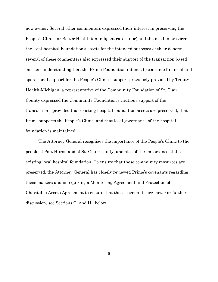new owner. Several other commenters expressed their interest in preserving the People's Clinic for Better Health (an indigent care clinic) and the need to preserve the local hospital Foundation's assets for the intended purposes of their donors; several of these commenters also expressed their support of the transaction based on their understanding that the Prime Foundation intends to continue financial and operational support for the People's Clinic—support previously provided by Trinity Health-Michigan; a representative of the Community Foundation of St. Clair County expressed the Community Foundation's cautious support of the transaction—provided that existing hospital foundation assets are preserved, that Prime supports the People's Clinic, and that local governance of the hospital foundation is maintained.

The Attorney General recognizes the importance of the People's Clinic to the people of Port Huron and of St. Clair County, and also of the importance of the existing local hospital foundation. To ensure that these community resources are preserved, the Attorney General has closely reviewed Prime's covenants regarding these matters and is requiring a Monitoring Agreement and Protection of Charitable Assets Agreement to ensure that these covenants are met. For further discussion, see Sections G. and H., below.

9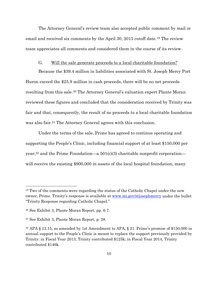The Attorney General's review team also accepted public comment by mail or email and received six comments by the April 30, 2015 cutoff date.[19](#page-11-0) The review team appreciates all comments and considered them in the course of its review.

### G. Will the sale generate proceeds to a local charitable foundation?

Because the \$39.4 million in liabilities associated with St. Joseph Mercy Port Huron exceed the \$25.9 million in cash proceeds, there will be no net proceeds resulting from this sale.[20](#page-11-1) The Attorney General's valuation expert Plante Moran reviewed these figures and concluded that the consideration received by Trinity was fair and that, consequently, the result of no proceeds to a local charitable foundation was also fair.<sup>[21](#page-11-2)</sup> The Attorney General agrees with this conclusion.

Under the terms of the sale, Prime has agreed to continue operating and supporting the People's Clinic, including financial support of at least \$150,000 per year;<sup>[22](#page-11-3)</sup> and the Prime Foundation—a  $501(c)(3)$  charitable nonprofit corporation will receive the existing \$900,000 in assets of the local hospital foundation, many

l

<span id="page-11-0"></span><sup>&</sup>lt;sup>19</sup> Two of the comments were regarding the status of the Catholic Chapel under the new owner, Prime. Trinity's response is available at [www.mi.gov/stjosephmercy](http://www.mi.gov/stjosephmercy) under the bullet "Trinity Response regarding Catholic Chapel."

<span id="page-11-1"></span><sup>20</sup> See Exhibit 3, Plante Moran Report, pp. 6-7.

<span id="page-11-2"></span><sup>21</sup> See Exhibit 3, Plante Moran Report, p. 28.

<span id="page-11-3"></span><sup>&</sup>lt;sup>22</sup> APA § 12.15, as amended by 1st Amendment to APA, § 21. Prime's promise of \$150,000 in annual support to the People's Clinic is meant to replace the support previously provided by Trinity: in Fiscal Year 2013, Trinity contributed \$125k; in Fiscal Year 2014, Trinity contributed \$146k.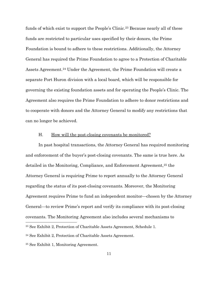funds of which exist to support the People's Clinic.<sup>[23](#page-12-0)</sup> Because nearly all of these funds are restricted to particular uses specified by their donors, the Prime Foundation is bound to adhere to these restrictions. Additionally, the Attorney General has required the Prime Foundation to agree to a Protection of Charitable Assets Agreement.<sup>[24](#page-12-1)</sup> Under the Agreement, the Prime Foundation will create a separate Port Huron division with a local board, which will be responsible for governing the existing foundation assets and for operating the People's Clinic. The Agreement also requires the Prime Foundation to adhere to donor restrictions and to cooperate with donors and the Attorney General to modify any restrictions that can no longer be achieved.

#### H. How will the post-closing covenants be monitored?

In past hospital transactions, the Attorney General has required monitoring and enforcement of the buyer's post-closing covenants. The same is true here. As detailed in the Monitoring, Compliance, and Enforcement Agreement,[25](#page-12-2) the Attorney General is requiring Prime to report annually to the Attorney General regarding the status of its post-closing covenants. Moreover, the Monitoring Agreement requires Prime to fund an independent monitor—chosen by the Attorney General—to review Prime's report and verify its compliance with its post-closing covenants. The Monitoring Agreement also includes several mechanisms to l

<span id="page-12-0"></span><sup>23</sup> See Exhibit 2, Protection of Charitable Assets Agreement, Schedule 1.

<span id="page-12-1"></span><sup>24</sup> See Exhibit 2, Protection of Charitable Assets Agreement.

<span id="page-12-2"></span><sup>25</sup> See Exhibit 1, Monitoring Agreement.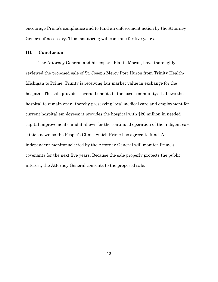encourage Prime's compliance and to fund an enforcement action by the Attorney General if necessary. This monitoring will continue for five years.

### **III. Conclusion**

The Attorney General and his expert, Plante Moran, have thoroughly reviewed the proposed sale of St. Joseph Mercy Port Huron from Trinity Health-Michigan to Prime. Trinity is receiving fair market value in exchange for the hospital. The sale provides several benefits to the local community: it allows the hospital to remain open, thereby preserving local medical care and employment for current hospital employees; it provides the hospital with \$20 million in needed capital improvements; and it allows for the continued operation of the indigent care clinic known as the People's Clinic, which Prime has agreed to fund. An independent monitor selected by the Attorney General will monitor Prime's covenants for the next five years. Because the sale properly protects the public interest, the Attorney General consents to the proposed sale.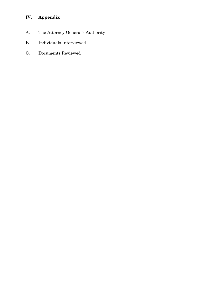## **IV. Appendix**

- A. The Attorney General's Authority
- B. Individuals Interviewed
- C. Documents Reviewed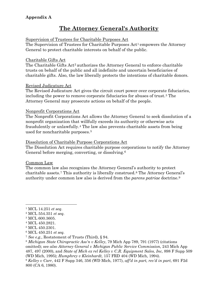### **Appendix A**

# **The Attorney General's Authority**

### Supervision of Trustees for Charitable Purposes Act

The Supervision of Trustees for Charitable Purposes Act<sup>[1](#page-15-0)</sup> empowers the Attorney General to protect charitable interests on behalf of the public.

### Charitable Gifts Act

The Charitable Gifts Act<sup>[2](#page-15-1)</sup> authorizes the Attorney General to enforce charitable trusts on behalf of the public and all indefinite and uncertain beneficiaries of charitable gifts. Also, the law liberally protects the intentions of charitable donors.

### Revised Judicature Act

The Revised Judicature Act gives the circuit court power over corporate fiduciaries, including the power to remove corporate fiduciaries for abuses of trust.[3](#page-15-2) The Attorney General may prosecute actions on behalf of the people.

### Nonprofit Corporations Act

The Nonprofit Corporations Act allows the Attorney General to seek dissolution of a nonprofit organization that willfully exceeds its authority or otherwise acts fraudulently or unlawfully.[4](#page-15-3) The law also prevents charitable assets from being used for noncharitable purposes.[5](#page-15-4)

### Dissolution of Charitable Purpose Corporations Act

The Dissolution Act requires charitable purpose corporations to notify the Attorney General before merging, converting, or dissolving.[6](#page-15-5)

### Common Law

The common law also recognizes the Attorney General's authority to protect charitable assets.[7](#page-15-6) This authority is liberally construed.[8](#page-15-7) The Attorney General's authority under common law also is derived from the *parens patriae* doctrine.[9](#page-15-8)

<span id="page-15-8"></span><span id="page-15-7"></span><sup>8</sup> *Michigan State Chiropractic Ass'n v Kelley*, 79 Mich App 789, 791 (1977) (citations omitted); see *also Attorney General v Michigan Public Service Commission*, 243 Mich App 487, 497 (2000), and *State of Mich ex rel Kelley v C.R. Equipment Sales, Inc,* 898 F Supp 509 (WD Mich, 1995); *Humphrey v Kleinhardt,* 157 FRD 404 (WD Mich, 1994). <sup>9</sup> *Kelley v Carr*, 442 F Supp 346, 356 (WD Mich, 1977), *aff'd in part, rev'd in part*, 691 F2d 800 (CA 6, 1980).

<span id="page-15-0"></span> <sup>1</sup> MCL 14.251 *et seq*.

<span id="page-15-1"></span><sup>2</sup> MCL 554.351 *et seq.*

<span id="page-15-2"></span><sup>3</sup> MCL 600.3605.

<span id="page-15-3"></span><sup>4</sup> MCL 450.2821.

<span id="page-15-4"></span><sup>5</sup> MCL 450.2301.

<span id="page-15-5"></span><sup>6</sup> MCL 450.251 *et seq.*

<span id="page-15-6"></span><sup>7</sup> *See e.g.*, Restatement of Trusts (Third), § 94.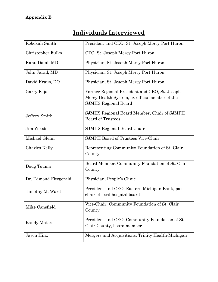### **Appendix B**

|--|

| Rebekah Smith         | President and CEO, St. Joseph Mercy Port Huron                                                                                |
|-----------------------|-------------------------------------------------------------------------------------------------------------------------------|
| Christopher Fulks     | CFO, St. Joseph Mercy Port Huron                                                                                              |
| Kanu Dalal, MD        | Physician, St. Joseph Mercy Port Huron                                                                                        |
| John Jarad, MD        | Physician, St. Joseph Mercy Port Huron                                                                                        |
| David Kraus, DO       | Physician, St. Joseph Mercy Port Huron                                                                                        |
| Garry Faja            | Former Regional President and CEO, St. Joseph<br>Mercy Health System; ex-officio member of the<br><b>SJMHS Regional Board</b> |
| Jeffery Smith         | SJMHS Regional Board Member, Chair of SJMPH<br><b>Board of Trustees</b>                                                       |
| Jim Woods             | SJMHS Regional Board Chair                                                                                                    |
| Michael Glenn         | <b>SJMPH Board of Trustees Vice-Chair</b>                                                                                     |
| Charles Kelly         | Representing Community Foundation of St. Clair<br>County                                                                      |
| Doug Touma            | Board Member, Community Foundation of St. Clair<br>County                                                                     |
| Dr. Edmond Fitzgerald | Physician, People's Clinic                                                                                                    |
| Timothy M. Ward       | President and CEO, Eastern Michigan Bank, past<br>chair of local hospital board                                               |
| Mike Cansfield        | Vice-Chair, Community Foundation of St. Clair<br>County                                                                       |
| Randy Maiers          | President and CEO, Community Foundation of St.<br>Clair County, board member                                                  |
| Jason Hinz            | Mergers and Acquisitions, Trinity Health-Michigan                                                                             |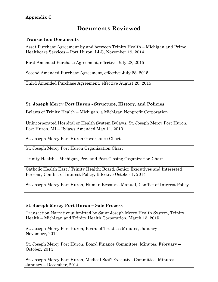### **Appendix C**

### **Documents Reviewed**

### **Transaction Documents**

Asset Purchase Agreement by and between Trinity Health – Michigan and Prime Healthcare Services – Port Huron, LLC, November 19, 2014

First Amended Purchase Agreement, effective July 28, 2015

Second Amended Purchase Agreement, effective July 28, 2015

Third Amended Purchase Agreement, effective August 20, 2015

### **St. Joseph Mercy Port Huron - Structure, History, and Policies**

Bylaws of Trinity Health – Michigan, a Michigan Nonprofit Corporation

Unincorporated Hospital or Health System Bylaws, St. Joseph Mercy Port Huron, Port Huron, MI – Bylaws Amended May 11, 2010

St. Joseph Mercy Port Huron Governance Chart

St. Joseph Mercy Port Huron Organization Chart

Trinity Health – Michigan, Pre- and Post-Closing Organization Chart

Catholic Health East / Trinity Health; Board, Senior Executives and Interested Persons, Conflict of Interest Policy, Effective October 1, 2014

St. Joseph Mercy Port Huron, Human Resource Manual, Conflict of Interest Policy

### **St. Joseph Mercy Port Huron – Sale Process**

Transaction Narrative submitted by Saint Joseph Mercy Health System, Trinity Health – Michigan and Trinity Health Corporation, March 13, 2015

St. Joseph Mercy Port Huron, Board of Trustees Minutes, January – November, 2014

St. Joseph Mercy Port Huron, Board Finance Committee, Minutes, February – October, 2014

St. Joseph Mercy Port Huron, Medical Staff Executive Committee, Minutes, January – December, 2014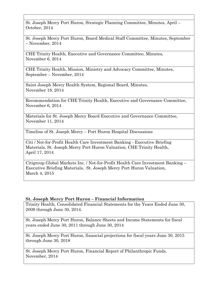St. Joseph Mercy Port Huron, Strategic Planning Committee, Minutes, April – October, 2014

St. Joseph Mercy Port Huron, Board Medical Staff Committee, Minutes, September – November, 2014

CHE Trinity Health, Executive and Governance Committee, Minutes, November 6, 2014

CHE Trinity Health, Mission, Ministry and Advocacy Committee, Minutes, September – November, 2014

Saint Joseph Mercy Health System, Regional Board, Minutes, November 18, 2014

Recommendation for CHE Trinity Health, Executive and Governance Committee, November 6, 2014

Materials for St. Joseph Mercy Board Executive and Governance Committee, November 11, 2014

Timeline of St. Joseph Mercy – Port Huron Hospital Discussions

Citi / Not-for-Profit Health Care Investment Banking - Executive Briefing Materials, St. Joseph Mercy Port Huron Valuation, CHE Trinity Health, April 17, 2014

Citigroup Global Markets Inc. / Not-for-Profit Health Care Investment Banking – Executive Briefing Materials, St. Joseph Mercy Port Huron Valuation, March 4, 2015

### **St. Joseph Mercy Port Huron – Financial Information**

Trinity Health, Consolidated Financial Statements for the Years Ended June 30, 2009 through June 30, 2014.

St. Joseph Mercy Port Huron, Balance Sheets and Income Statements for fiscal years ended June 30, 2011 through June 30, 2014

St. Joseph Mercy Port Huron, financial projections for fiscal years June 30, 2015 through June 30, 2018

St. Joseph Mercy Port Huron, Financial Report of Philanthropic Funds, November, 2014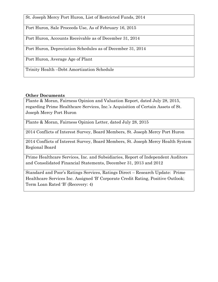St. Joseph Mercy Port Huron, List of Restricted Funds, 2014

Port Huron, Sale Proceeds Use, As of February 16, 2015

Port Huron, Accounts Receivable as of December 31, 2014

Port Huron, Depreciation Schedules as of December 31, 2014

Port Huron, Average Age of Plant

Trinity Health –Debt Amortization Schedule

### **Other Documents**

Plante & Moran, Fairness Opinion and Valuation Report, dated July 28, 2015, regarding Prime Healthcare Services, Inc.'s Acquisition of Certain Assets of St. Joseph Mercy Port Huron

Plante & Moran, Fairness Opinion Letter, dated July 28, 2015

2014 Conflicts of Interest Survey, Board Members, St. Joseph Mercy Port Huron

2014 Conflicts of Interest Survey, Board Members, St. Joseph Mercy Health System Regional Board

Prime Healthcare Services, Inc. and Subsidiaries, Report of Independent Auditors and Consolidated Financial Statements, December 31, 2013 and 2012

Standard and Poor's Ratings Services, Ratings Direct – Research Update: Prime Healthcare Services Inc. Assigned 'B' Corporate Credit Rating, Positive Outlook; Term Loan Rated 'B' (Recovery: 4)